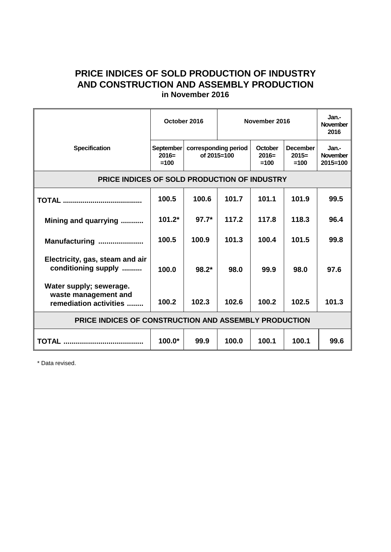## **PRICE INDICES OF SOLD PRODUCTION OF INDUSTRY AND CONSTRUCTION AND ASSEMBLY PRODUCTION in November 2016**

|                                                                           | October 2016                   |                                     | November 2016 |                                     |                                      | Jan.-<br><b>November</b><br>2016         |
|---------------------------------------------------------------------------|--------------------------------|-------------------------------------|---------------|-------------------------------------|--------------------------------------|------------------------------------------|
| <b>Specification</b>                                                      | September<br>$2016=$<br>$=100$ | corresponding period<br>of 2015=100 |               | <b>October</b><br>$2016=$<br>$=100$ | <b>December</b><br>$2015=$<br>$=100$ | Jan.-<br><b>November</b><br>$2015 = 100$ |
| PRICE INDICES OF SOLD PRODUCTION OF INDUSTRY                              |                                |                                     |               |                                     |                                      |                                          |
|                                                                           | 100.5                          | 100.6                               | 101.7         | 101.1                               | 101.9                                | 99.5                                     |
| Mining and quarrying                                                      | $101.2*$                       | $97.7*$                             | 117.2         | 117.8                               | 118.3                                | 96.4                                     |
| Manufacturing                                                             | 100.5                          | 100.9                               | 101.3         | 100.4                               | 101.5                                | 99.8                                     |
| Electricity, gas, steam and air<br>conditioning supply                    | 100.0                          | $98.2*$                             | 98.0          | 99.9                                | 98.0                                 | 97.6                                     |
| Water supply; sewerage.<br>waste management and<br>remediation activities | 100.2                          | 102.3                               | 102.6         | 100.2                               | 102.5                                | 101.3                                    |
| PRICE INDICES OF CONSTRUCTION AND ASSEMBLY PRODUCTION                     |                                |                                     |               |                                     |                                      |                                          |
|                                                                           | $100.0*$                       | 99.9                                | 100.0         | 100.1                               | 100.1                                | 99.6                                     |

\* Data revised.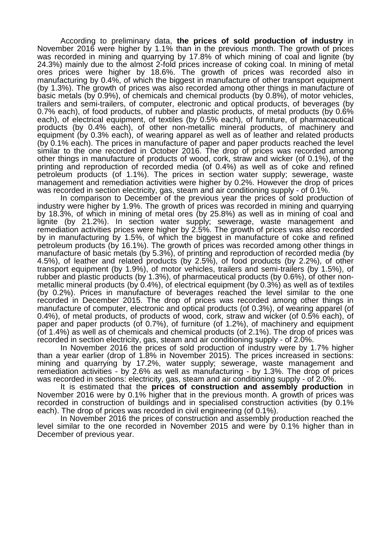According to preliminary data, **the prices of sold production of industry** in November 2016 were higher by 1.1% than in the previous month. The growth of prices was recorded in mining and quarrying by 17.8% of which mining of coal and lignite (by 24.3%) mainly due to the almost 2-fold prices increase of coking coal. In mining of metal ores prices were higher by 18.6%. The growth of prices was recorded also in manufacturing by 0.4%, of which the biggest in manufacture of other transport equipment (by 1.3%). The growth of prices was also recorded among other things in manufacture of basic metals (by 0.9%), of chemicals and chemical products (by 0.8%), of motor vehicles, trailers and semi-trailers, of computer, electronic and optical products, of beverages (by 0.7% each), of food products, of rubber and plastic products, of metal products (by 0.6% each), of electrical equipment, of textiles (by 0.5% each), of furniture, of pharmaceutical products (by 0.4% each), of other non-metallic mineral products, of machinery and equipment (by 0.3% each), of wearing apparel as well as of leather and related products (by 0.1% each). The prices in manufacture of paper and paper products reached the level similar to the one recorded in October 2016. The drop of prices was recorded among other things in manufacture of products of wood, cork, straw and wicker (of 0.1%), of the printing and reproduction of recorded media (of 0.4%) as well as of coke and refined petroleum products (of 1.1%). The prices in section water supply; sewerage, waste management and remediation activities were higher by 0.2%. However the drop of prices was recorded in section electricity, gas, steam and air conditioning supply - of 0.1%.

In comparison to December of the previous year the prices of sold production of industry were higher by 1.9%. The growth of prices was recorded in mining and quarrying by 18.3%, of which in mining of metal ores (by 25.8%) as well as in mining of coal and lignite (by 21.2%). In section water supply; sewerage, waste management and remediation activities prices were higher by 2.5%. The growth of prices was also recorded by in manufacturing by 1.5%, of which the biggest in manufacture of coke and refined petroleum products (by 16.1%). The growth of prices was recorded among other things in manufacture of basic metals (by 5.3%), of printing and reproduction of recorded media (by 4.5%), of leather and related products (by 2.5%), of food products (by 2.2%), of other transport equipment (by 1.9%), of motor vehicles, trailers and semi-trailers (by 1.5%), of rubber and plastic products (by 1.3%), of pharmaceutical products (by 0.6%), of other nonmetallic mineral products (by 0.4%), of electrical equipment (by 0.3%) as well as of textiles (by 0.2%). Prices in manufacture of beverages reached the level similar to the one recorded in December 2015. The drop of prices was recorded among other things in manufacture of computer, electronic and optical products (of 0.3%), of wearing apparel (of 0.4%), of metal products, of products of wood, cork, straw and wicker (of 0.5% each), of paper and paper products (of 0.7%), of furniture (of 1.2%), of machinery and equipment (of 1.4%) as well as of chemicals and chemical products (of 2.1%). The drop of prices was recorded in section electricity, gas, steam and air conditioning supply - of 2.0%.

In November 2016 the prices of sold production of industry were by 1.7% higher than a year earlier (drop of 1.8% in November 2015). The prices increased in sections: mining and quarrying by 17.2%, water supply; sewerage, waste management and remediation activities - by 2.6% as well as manufacturing - by 1.3%. The drop of prices was recorded in sections: electricity, gas, steam and air conditioning supply - of 2.0%.

It is estimated that the **prices of construction and assembly production** in November 2016 were by 0.1% higher that in the previous month. A growth of prices was recorded in construction of buildings and in specialised construction activities (by 0.1% each). The drop of prices was recorded in civil engineering (of 0.1%).

In November 2016 the prices of construction and assembly production reached the level similar to the one recorded in November 2015 and were by 0.1% higher than in December of previous year.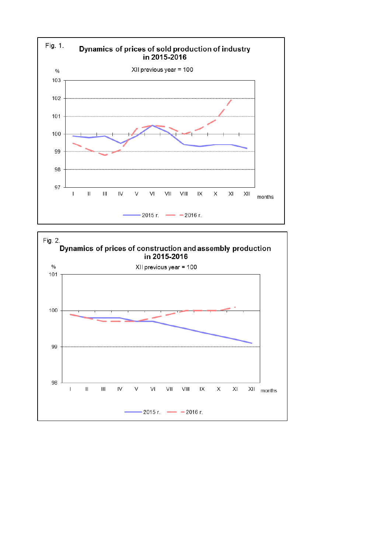